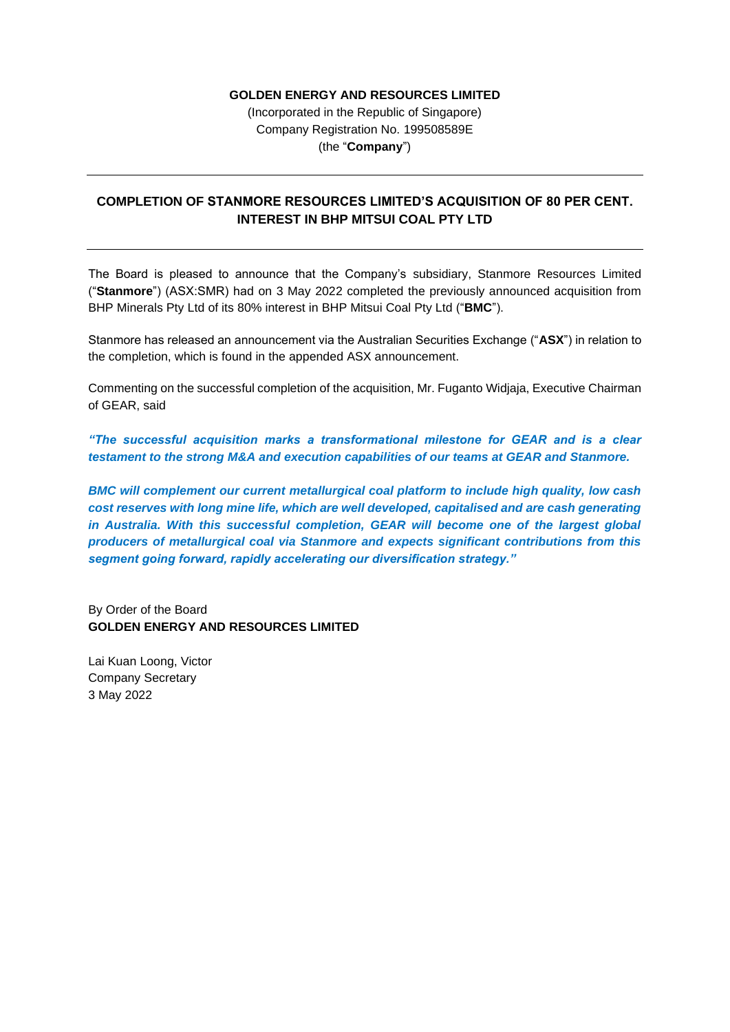### **GOLDEN ENERGY AND RESOURCES LIMITED**

(Incorporated in the Republic of Singapore) Company Registration No. 199508589E (the "**Company**")

## **COMPLETION OF STANMORE RESOURCES LIMITED'S ACQUISITION OF 80 PER CENT. INTEREST IN BHP MITSUI COAL PTY LTD**

The Board is pleased to announce that the Company's subsidiary, Stanmore Resources Limited ("**Stanmore**") (ASX:SMR) had on 3 May 2022 completed the previously announced acquisition from BHP Minerals Pty Ltd of its 80% interest in BHP Mitsui Coal Pty Ltd ("**BMC**").

Stanmore has released an announcement via the Australian Securities Exchange ("**ASX**") in relation to the completion, which is found in the appended ASX announcement.

Commenting on the successful completion of the acquisition, Mr. Fuganto Widjaja, Executive Chairman of GEAR, said

*"The successful acquisition marks a transformational milestone for GEAR and is a clear testament to the strong M&A and execution capabilities of our teams at GEAR and Stanmore.* 

*BMC will complement our current metallurgical coal platform to include high quality, low cash cost reserves with long mine life, which are well developed, capitalised and are cash generating in Australia. With this successful completion, GEAR will become one of the largest global producers of metallurgical coal via Stanmore and expects significant contributions from this segment going forward, rapidly accelerating our diversification strategy."*

By Order of the Board **GOLDEN ENERGY AND RESOURCES LIMITED**

Lai Kuan Loong, Victor Company Secretary 3 May 2022